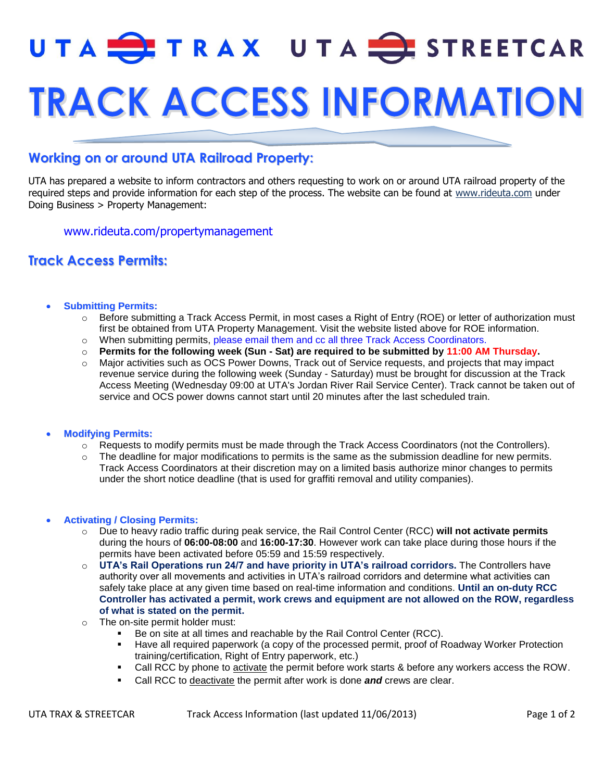# UTA TRAX UTA STREETCAR **TRACK ACCESS INFORMATION**

## **Working on or around UTA Railroad Property:**

UTA has prepared a website to inform contractors and others requesting to work on or around UTA railroad property of the required steps and provide information for each step of the process. The website can be found at [www.rideuta.com](http://www.rideuta.com/) under Doing Business > Property Management:

[www.rideuta.com/propertymanagement](http://www.rideuta.com/propertymanagement)

### **Track Access Permits:**

#### **Submitting Permits:**

- o Before submitting a Track Access Permit, in most cases a Right of Entry (ROE) or letter of authorization must first be obtained from UTA Property Management. Visit the website listed above for ROE information.
- o When submitting permits, please email them and cc all three Track Access Coordinators.
- o **Permits for the following week (Sun - Sat) are required to be submitted by 11:00 AM Thursday.**
- $\circ$  Major activities such as OCS Power Downs, Track out of Service requests, and projects that may impact revenue service during the following week (Sunday - Saturday) must be brought for discussion at the Track Access Meeting (Wednesday 09:00 at UTA's Jordan River Rail Service Center). Track cannot be taken out of service and OCS power downs cannot start until 20 minutes after the last scheduled train.

#### **Modifying Permits:**

- o Requests to modify permits must be made through the Track Access Coordinators (not the Controllers).
- $\circ$  The deadline for major modifications to permits is the same as the submission deadline for new permits. Track Access Coordinators at their discretion may on a limited basis authorize minor changes to permits under the short notice deadline (that is used for graffiti removal and utility companies).

#### **Activating / Closing Permits:**

- o Due to heavy radio traffic during peak service, the Rail Control Center (RCC) **will not activate permits** during the hours of **06:00-08:00** and **16:00-17:30**. However work can take place during those hours if the permits have been activated before 05:59 and 15:59 respectively.
- o **UTA's Rail Operations run 24/7 and have priority in UTA's railroad corridors.** The Controllers have authority over all movements and activities in UTA's railroad corridors and determine what activities can safely take place at any given time based on real-time information and conditions. **Until an on-duty RCC Controller has activated a permit, work crews and equipment are not allowed on the ROW, regardless of what is stated on the permit.**
- o The on-site permit holder must:
	- Be on site at all times and reachable by the Rail Control Center (RCC).
	- Have all required paperwork (a copy of the processed permit, proof of Roadway Worker Protection training/certification, Right of Entry paperwork, etc.)
	- Call RCC by phone to **activate** the permit before work starts & before any workers access the ROW.
	- Call RCC to deactivate the permit after work is done *and* crews are clear.

UTA TRAX & STREETCAR Track Access Information (last updated 11/06/2013) Page 1 of 2